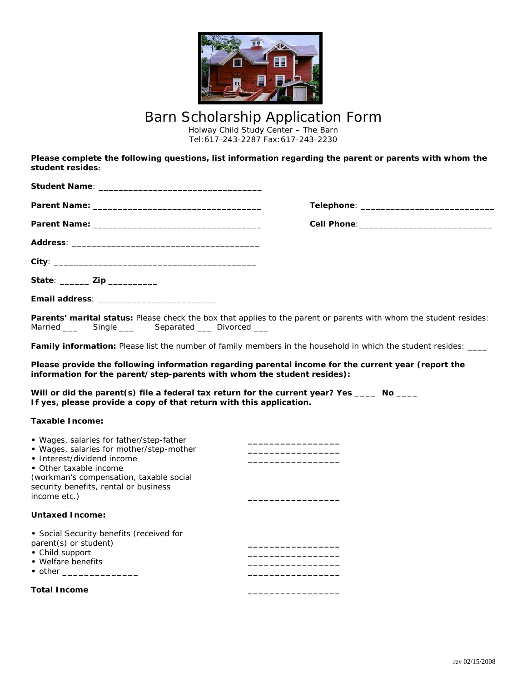

## Barn Scholarship Application Form

Holway Child Study Center – The Barn Tel:617-243-2287 Fax:617-243-2230

**Please complete the following questions, list information regarding the parent or parents with whom the student resides:**

| State: ________ Zip ___________                                                                                                                                                                                                                  |                                                                                                                    |
|--------------------------------------------------------------------------------------------------------------------------------------------------------------------------------------------------------------------------------------------------|--------------------------------------------------------------------------------------------------------------------|
|                                                                                                                                                                                                                                                  |                                                                                                                    |
| Single __________ Separated _____ Divorced ____<br>Married ___                                                                                                                                                                                   | Parents' marital status: Please check the box that applies to the parent or parents with whom the student resides: |
|                                                                                                                                                                                                                                                  | Family information: Please list the number of family members in the household in which the student resides: ____   |
| information for the parent/step-parents with whom the student resides):<br>Will or did the parent(s) file a federal tax return for the current year? Yes ____ No ____<br>If yes, please provide a copy of that return with this application.     | Please provide the following information regarding parental income for the current year (report the                |
| <b>Taxable Income:</b>                                                                                                                                                                                                                           |                                                                                                                    |
| • Wages, salaries for father/step-father<br>• Wages, salaries for mother/step-mother<br>• Interest/dividend income<br>• Other taxable income<br>(workman's compensation, taxable social<br>security benefits, rental or business<br>income etc.) |                                                                                                                    |
| <b>Untaxed Income:</b>                                                                                                                                                                                                                           |                                                                                                                    |
| • Social Security benefits (received for<br>parent(s) or student)<br>• Child support<br>• Welfare benefits                                                                                                                                       |                                                                                                                    |
| <b>Total Income</b>                                                                                                                                                                                                                              |                                                                                                                    |